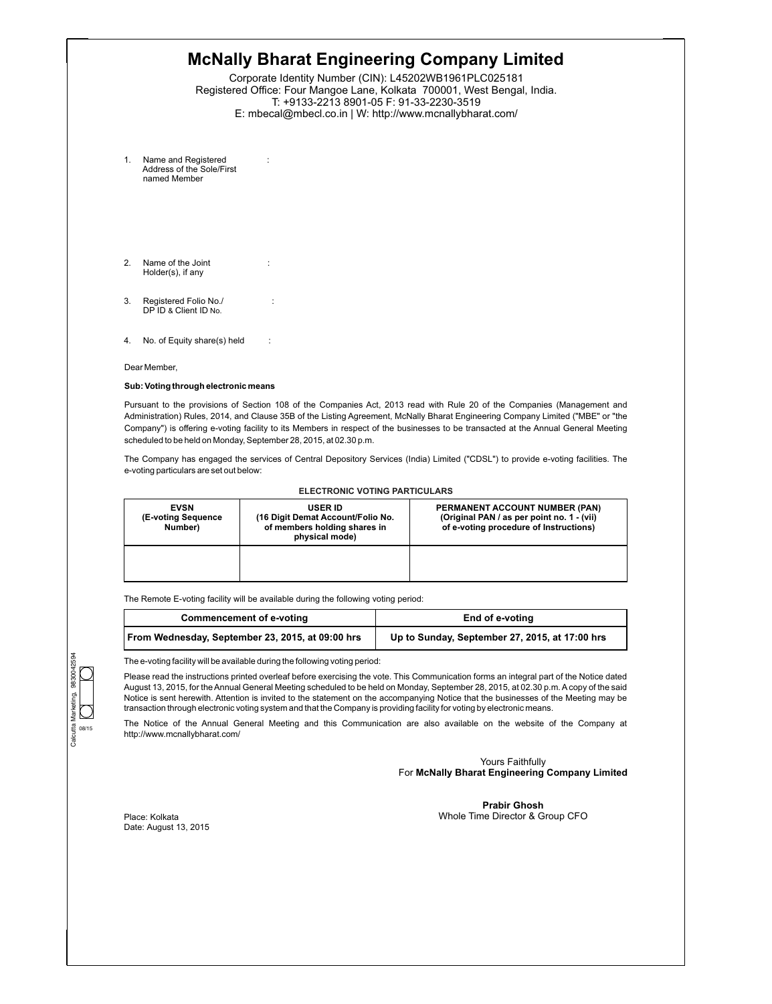| Name and Registered<br>1.<br>Address of the Sole/First<br>named Member<br>2.<br>Name of the Joint<br>Holder(s), if any<br>3.<br>Registered Folio No./<br>DP ID & Client ID No.<br>No. of Equity share(s) held<br>4.<br>$\cdot$ :<br>Dear Member,<br>Sub: Voting through electronic means<br>Pursuant to the provisions of Section 108 of the Companies Act, 2013 read with Rule 20 of the Companies (Management and<br>Administration) Rules, 2014, and Clause 35B of the Listing Agreement, McNally Bharat Engineering Company Limited ("MBE" or "the<br>Company") is offering e-voting facility to its Members in respect of the businesses to be transacted at the Annual General Meeting<br>scheduled to be held on Monday, September 28, 2015, at 02.30 p.m.<br>The Company has engaged the services of Central Depository Services (India) Limited ("CDSL") to provide e-voting facilities. The<br>e-voting particulars are set out below:<br><b>ELECTRONIC VOTING PARTICULARS</b><br><b>EVSN</b><br><b>USER ID</b><br>(E-voting Sequence<br>(16 Digit Demat Account/Folio No.<br>of members holding shares in<br>of e-voting procedure of Instructions)<br>Number)<br>physical mode) |  | Corporate Identity Number (CIN): L45202WB1961PLC025181<br>Registered Office: Four Mangoe Lane, Kolkata 700001, West Bengal, India.<br>T: +9133-2213 8901-05 F: 91-33-2230-3519<br>E: mbecal@mbecl.co.in   W: http://www.mcnallybharat.com/ |                                                                              |
|---------------------------------------------------------------------------------------------------------------------------------------------------------------------------------------------------------------------------------------------------------------------------------------------------------------------------------------------------------------------------------------------------------------------------------------------------------------------------------------------------------------------------------------------------------------------------------------------------------------------------------------------------------------------------------------------------------------------------------------------------------------------------------------------------------------------------------------------------------------------------------------------------------------------------------------------------------------------------------------------------------------------------------------------------------------------------------------------------------------------------------------------------------------------------------------------|--|--------------------------------------------------------------------------------------------------------------------------------------------------------------------------------------------------------------------------------------------|------------------------------------------------------------------------------|
|                                                                                                                                                                                                                                                                                                                                                                                                                                                                                                                                                                                                                                                                                                                                                                                                                                                                                                                                                                                                                                                                                                                                                                                             |  |                                                                                                                                                                                                                                            |                                                                              |
|                                                                                                                                                                                                                                                                                                                                                                                                                                                                                                                                                                                                                                                                                                                                                                                                                                                                                                                                                                                                                                                                                                                                                                                             |  |                                                                                                                                                                                                                                            |                                                                              |
|                                                                                                                                                                                                                                                                                                                                                                                                                                                                                                                                                                                                                                                                                                                                                                                                                                                                                                                                                                                                                                                                                                                                                                                             |  |                                                                                                                                                                                                                                            |                                                                              |
|                                                                                                                                                                                                                                                                                                                                                                                                                                                                                                                                                                                                                                                                                                                                                                                                                                                                                                                                                                                                                                                                                                                                                                                             |  |                                                                                                                                                                                                                                            |                                                                              |
|                                                                                                                                                                                                                                                                                                                                                                                                                                                                                                                                                                                                                                                                                                                                                                                                                                                                                                                                                                                                                                                                                                                                                                                             |  |                                                                                                                                                                                                                                            |                                                                              |
|                                                                                                                                                                                                                                                                                                                                                                                                                                                                                                                                                                                                                                                                                                                                                                                                                                                                                                                                                                                                                                                                                                                                                                                             |  |                                                                                                                                                                                                                                            |                                                                              |
|                                                                                                                                                                                                                                                                                                                                                                                                                                                                                                                                                                                                                                                                                                                                                                                                                                                                                                                                                                                                                                                                                                                                                                                             |  |                                                                                                                                                                                                                                            |                                                                              |
|                                                                                                                                                                                                                                                                                                                                                                                                                                                                                                                                                                                                                                                                                                                                                                                                                                                                                                                                                                                                                                                                                                                                                                                             |  |                                                                                                                                                                                                                                            |                                                                              |
|                                                                                                                                                                                                                                                                                                                                                                                                                                                                                                                                                                                                                                                                                                                                                                                                                                                                                                                                                                                                                                                                                                                                                                                             |  |                                                                                                                                                                                                                                            | PERMANENT ACCOUNT NUMBER (PAN)<br>(Original PAN / as per point no. 1 - (vii) |

The Remote E-voting facility will be available during the following voting period:

| <b>Commencement of e-voting</b>                  | End of e-voting                                |
|--------------------------------------------------|------------------------------------------------|
| From Wednesday, September 23, 2015, at 09:00 hrs | Up to Sunday, September 27, 2015, at 17:00 hrs |

The e-voting facility will be available during the following voting period:

Please read the instructions printed overleaf before exercising the vote. This Communication forms an integral part of the Notice dated August 13, 2015, for the Annual General Meeting scheduled to be held on Monday, September 28, 2015, at 02.30 p.m. Acopy of the said Notice is sent herewith. Attention is invited to the statement on the accompanying Notice that the businesses of the Meeting may be transaction through electronic voting system and that the Company is providing facility for voting by electronic means.

The Notice of the Annual General Meeting and this Communication are also available on the website of the Company at http://www.mcnallybharat.com/

> Yours Faithfully For **McNally Bharat Engineering Company Limited**

Place: Kolkata Date: August 13, 2015

**Prabir Ghosh** Whole Time Director & Group CFO